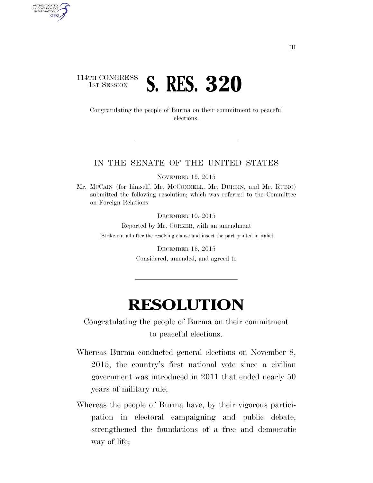## 114TH CONGRESS **1ST SESSION S. RES. 320**

AUTHENTICATED<br>U.S. GOVERNMENT<br>INFORMATION GPO

> Congratulating the people of Burma on their commitment to peaceful elections.

## IN THE SENATE OF THE UNITED STATES

NOVEMBER 19, 2015

Mr. MCCAIN (for himself, Mr. MCCONNELL, Mr. DURBIN, and Mr. RUBIO) submitted the following resolution; which was referred to the Committee on Foreign Relations

DECEMBER 10, 2015

Reported by Mr. CORKER, with an amendment [Strike out all after the resolving clause and insert the part printed in italic]

> DECEMBER 16, 2015 Considered, amended, and agreed to

## **RESOLUTION**

Congratulating the people of Burma on their commitment to peaceful elections.

- Whereas Burma conducted general elections on November 8, 2015, the country's first national vote since a civilian government was introduced in 2011 that ended nearly 50 years of military rule;
- Whereas the people of Burma have, by their vigorous participation in electoral campaigning and public debate, strengthened the foundations of a free and democratic way of life;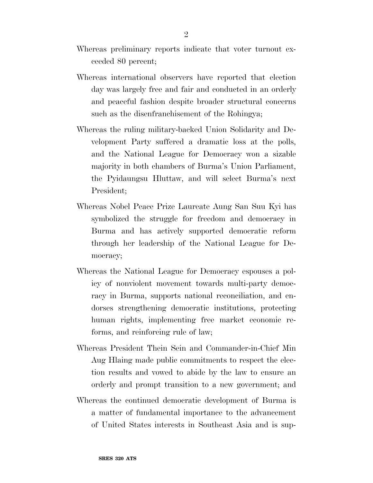- Whereas preliminary reports indicate that voter turnout exceeded 80 percent;
- Whereas international observers have reported that election day was largely free and fair and conducted in an orderly and peaceful fashion despite broader structural concerns such as the disenfranchisement of the Rohingya;
- Whereas the ruling military-backed Union Solidarity and Development Party suffered a dramatic loss at the polls, and the National League for Democracy won a sizable majority in both chambers of Burma's Union Parliament, the Pyidaungsu Hluttaw, and will select Burma's next President;
- Whereas Nobel Peace Prize Laureate Aung San Suu Kyi has symbolized the struggle for freedom and democracy in Burma and has actively supported democratic reform through her leadership of the National League for Democracy;
- Whereas the National League for Democracy espouses a policy of nonviolent movement towards multi-party democracy in Burma, supports national reconciliation, and endorses strengthening democratic institutions, protecting human rights, implementing free market economic reforms, and reinforcing rule of law;
- Whereas President Thein Sein and Commander-in-Chief Min Aug Hlaing made public commitments to respect the election results and vowed to abide by the law to ensure an orderly and prompt transition to a new government; and
- Whereas the continued democratic development of Burma is a matter of fundamental importance to the advancement of United States interests in Southeast Asia and is sup-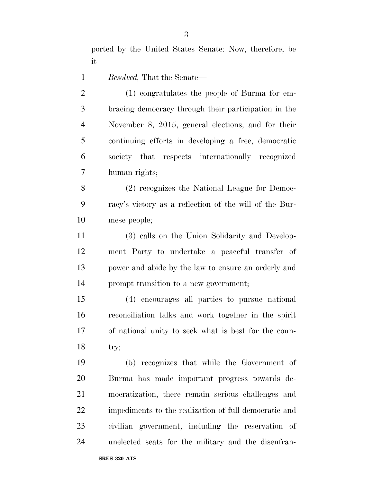ported by the United States Senate: Now, therefore, be it

*Resolved,* That the Senate—

 (1) congratulates the people of Burma for em- bracing democracy through their participation in the November 8, 2015, general elections, and for their continuing efforts in developing a free, democratic society that respects internationally recognized human rights;

 (2) recognizes the National League for Democ- racy's victory as a reflection of the will of the Bur-mese people;

 (3) calls on the Union Solidarity and Develop- ment Party to undertake a peaceful transfer of power and abide by the law to ensure an orderly and prompt transition to a new government;

 (4) encourages all parties to pursue national reconciliation talks and work together in the spirit of national unity to seek what is best for the coun-try;

 (5) recognizes that while the Government of Burma has made important progress towards de- mocratization, there remain serious challenges and impediments to the realization of full democratic and civilian government, including the reservation of unelected seats for the military and the disenfran-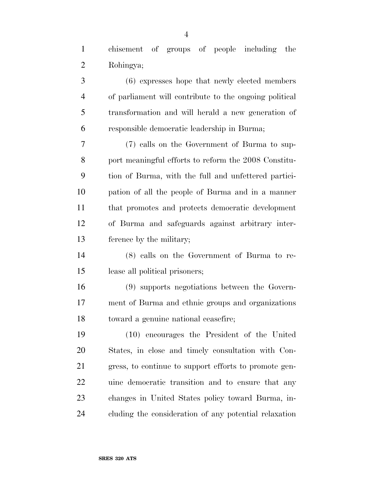| chisement of groups of people including the |  |  |  |
|---------------------------------------------|--|--|--|
| Rohingya;                                   |  |  |  |

 (6) expresses hope that newly elected members of parliament will contribute to the ongoing political transformation and will herald a new generation of responsible democratic leadership in Burma;

 (7) calls on the Government of Burma to sup- port meaningful efforts to reform the 2008 Constitu- tion of Burma, with the full and unfettered partici- pation of all the people of Burma and in a manner that promotes and protects democratic development of Burma and safeguards against arbitrary inter-ference by the military;

 (8) calls on the Government of Burma to re-lease all political prisoners;

 (9) supports negotiations between the Govern- ment of Burma and ethnic groups and organizations toward a genuine national ceasefire;

 (10) encourages the President of the United States, in close and timely consultation with Con- gress, to continue to support efforts to promote gen- uine democratic transition and to ensure that any changes in United States policy toward Burma, in-cluding the consideration of any potential relaxation